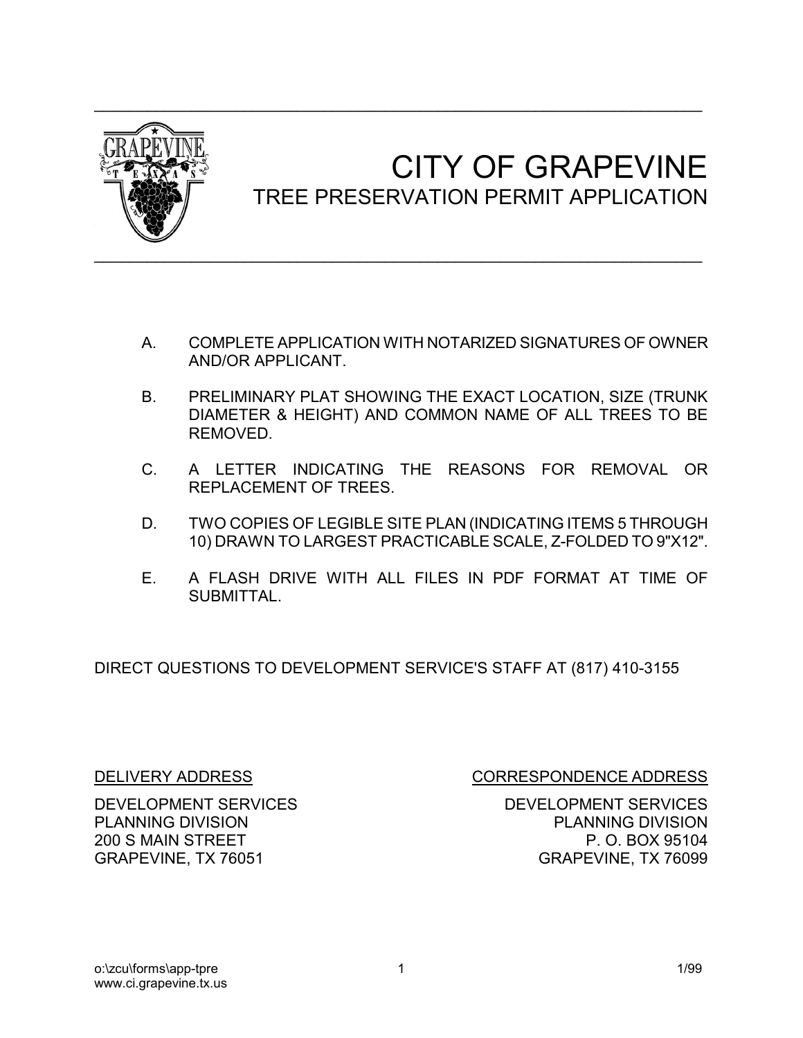

## CITY OF GRAPEVINE<br>TREE PRESERVATION PERMIT APPLICATION

- A. COMPLETE APPLICATION WITH NOTARIZED SIGNATURES OF OWNER AND/OR APPLICANT.
- B. PRELIMINARY PLAT SHOWING THE EXACT LOCATION, SIZE (TRUNK DIAMETER & HEIGHT) AND COMMON NAME OF ALL TREES TO BE REMOVED.
- C. A LETTER INDICATING THE REASONS FOR REMOVAL OR REPLACEMENT OF TREES.
- D. TWO COPIES OF LEGIBLE SITE PLAN (INDICATING ITEMS 5 THROUGH 10) DRAWN TO LARGEST PRACTICABLE SCALE, Z-FOLDED TO 9"X12".
- E. A FLASH DRIVE WITH ALL FILES IN PDF FORMAT AT TIME OF SUBMITTAL.

DIRECT QUESTIONS TO DEVELOPMENT SERVICE'S STAFF AT (817) 410-3155

DELIVERY ADDRESS CORRESPONDENCE ADDRESS

DEVELOPMENT SERVICES DEVELOPMENT SERVICES PLANNING DIVISION PLANNING DIVISION 200 S MAIN STREET **P.O. BOX 95104** GRAPEVINE, TX 76051 GRAPEVINE, TX 76099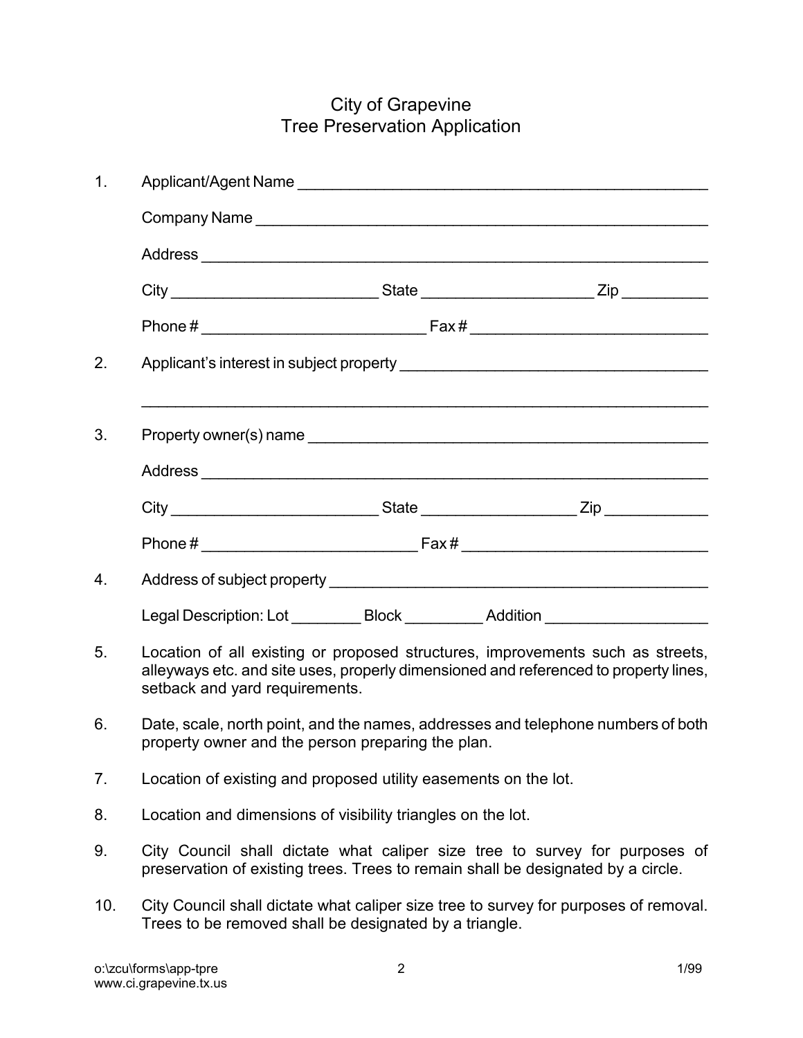## City of Grapevine Tree Preservation Application

| 1.  |                                                                                                                                                                                                          |  |  |  |  |
|-----|----------------------------------------------------------------------------------------------------------------------------------------------------------------------------------------------------------|--|--|--|--|
|     |                                                                                                                                                                                                          |  |  |  |  |
|     |                                                                                                                                                                                                          |  |  |  |  |
|     |                                                                                                                                                                                                          |  |  |  |  |
|     |                                                                                                                                                                                                          |  |  |  |  |
| 2.  |                                                                                                                                                                                                          |  |  |  |  |
| 3.  |                                                                                                                                                                                                          |  |  |  |  |
|     |                                                                                                                                                                                                          |  |  |  |  |
|     |                                                                                                                                                                                                          |  |  |  |  |
|     |                                                                                                                                                                                                          |  |  |  |  |
| 4.  |                                                                                                                                                                                                          |  |  |  |  |
|     | Legal Description: Lot __________ Block __________ Addition ____________________                                                                                                                         |  |  |  |  |
| 5.  | Location of all existing or proposed structures, improvements such as streets,<br>alleyways etc. and site uses, properly dimensioned and referenced to property lines,<br>setback and yard requirements. |  |  |  |  |
| 6.  | Date, scale, north point, and the names, addresses and telephone numbers of both<br>property owner and the person preparing the plan.                                                                    |  |  |  |  |
| 7.  | Location of existing and proposed utility easements on the lot.                                                                                                                                          |  |  |  |  |
| 8.  | Location and dimensions of visibility triangles on the lot.                                                                                                                                              |  |  |  |  |
| 9.  | City Council shall dictate what caliper size tree to survey for purposes of<br>preservation of existing trees. Trees to remain shall be designated by a circle.                                          |  |  |  |  |
| 10. | City Council shall dictate what caliper size tree to survey for purposes of removal.<br>Trees to be removed shall be designated by a triangle.                                                           |  |  |  |  |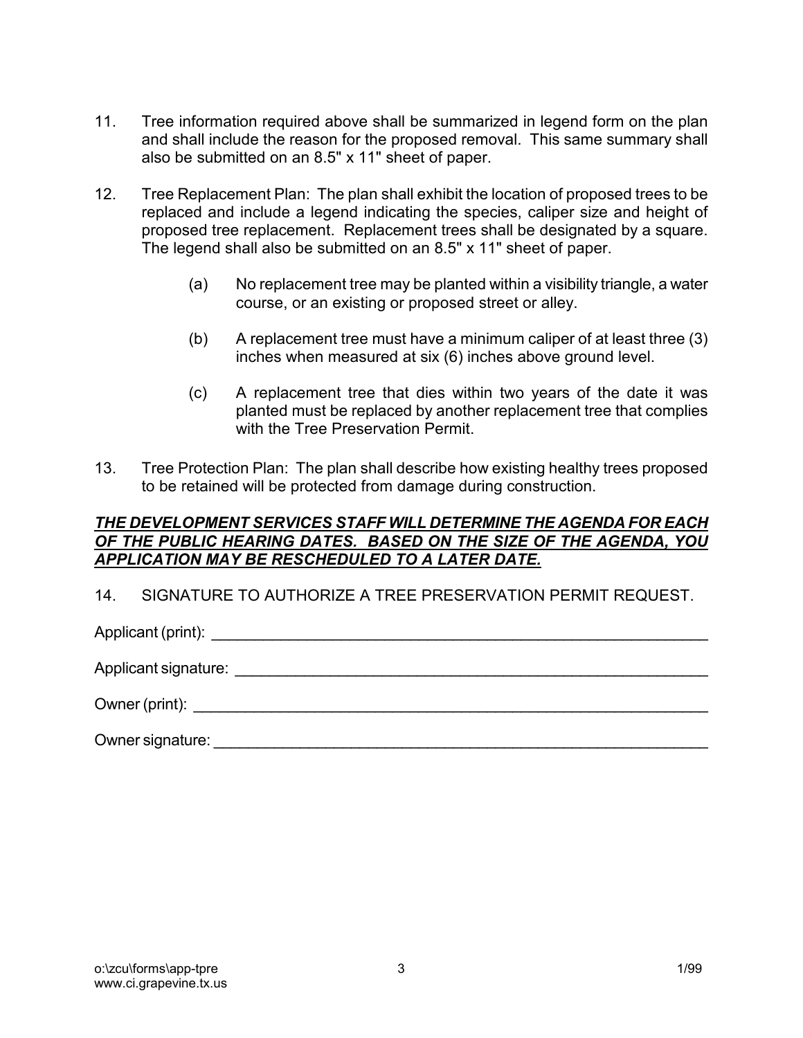- 11. Tree information required above shall be summarized in legend form on the plan and shall include the reason for the proposed removal. This same summary shall also be submitted on an 8.5" x 11" sheet of paper.
- 12. Tree Replacement Plan: The plan shall exhibit the location of proposed trees to be replaced and include a legend indicating the species, caliper size and height of proposed tree replacement. Replacement trees shall be designated by a square. The legend shall also be submitted on an 8.5" x 11" sheet of paper.
	- (a) No replacement tree may be planted within a visibility triangle, a water course, or an existing or proposed street or alley.
	- (b) A replacement tree must have a minimum caliper of at least three (3) inches when measured at six (6) inches above ground level.
	- (c) A replacement tree that dies within two years of the date it was planted must be replaced by another replacement tree that complies with the Tree Preservation Permit.
- 13. Tree Protection Plan: The plan shall describe how existing healthy trees proposed to be retained will be protected from damage during construction.

## *THE DEVELOPMENT SERVICES STAFF WILL DETERMINE THE AGENDA FOR EACH OF THE PUBLIC HEARING DATES. BASED ON THE SIZE OF THE AGENDA, YOU APPLICATION MAY BE RESCHEDULED TO A LATER DATE.*

14. SIGNATURE TO AUTHORIZE A TREE PRESERVATION PERMIT REQUEST.

Applicant (print): \_\_\_\_\_\_\_\_\_\_\_\_\_\_\_\_\_\_\_\_\_\_\_\_\_\_\_\_\_\_\_\_\_\_\_\_\_\_\_\_\_\_\_\_\_\_\_\_\_\_\_\_\_\_\_\_\_\_

Applicant signature: \_\_\_\_\_\_\_\_\_\_\_\_\_\_\_\_\_\_\_\_\_\_\_\_\_\_\_\_\_\_\_\_\_\_\_\_\_\_\_\_\_\_\_\_\_\_\_\_\_\_\_\_\_\_\_

Owner (print):  $\blacksquare$ 

Owner signature: \_\_\_\_\_\_\_\_\_\_\_\_\_\_\_\_\_\_\_\_\_\_\_\_\_\_\_\_\_\_\_\_\_\_\_\_\_\_\_\_\_\_\_\_\_\_\_\_\_\_\_\_\_\_\_\_\_\_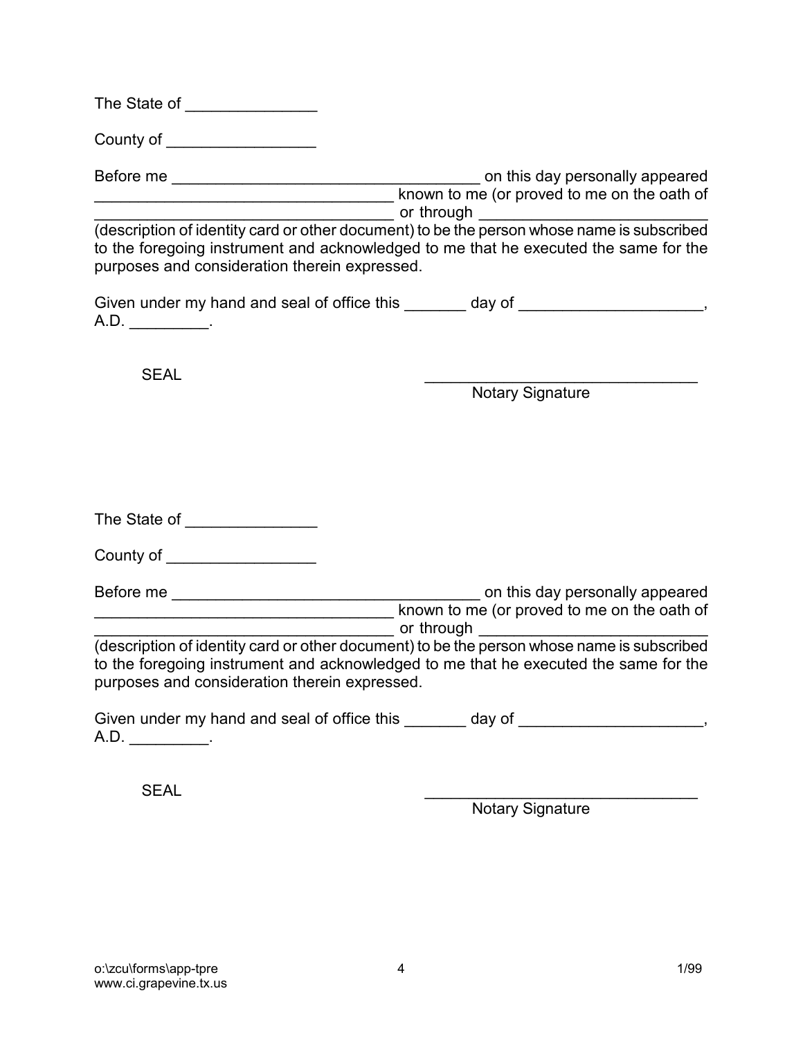| The State of |  |  |  |
|--------------|--|--|--|
|              |  |  |  |

County of \_\_\_\_\_\_\_\_\_\_\_\_\_\_\_\_\_\_\_\_\_

Before me \_\_\_\_\_\_\_\_\_\_\_\_\_\_\_\_\_\_\_\_\_\_\_\_\_\_\_\_\_\_\_\_\_\_\_ on this day personally appeared known to me (or proved to me on the oath of or through

(description of identity card or other document) to be the person whose name is subscribed to the foregoing instrument and acknowledged to me that he executed the same for the purposes and consideration therein expressed.

| Given under my hand and seal of office this | day of |
|---------------------------------------------|--------|
| A.D                                         |        |

SEAL \_\_\_\_\_\_\_\_\_\_\_\_\_\_\_\_\_\_\_\_\_\_\_\_\_\_\_\_\_\_\_

Notary Signature

| The State of |  |
|--------------|--|
|              |  |

| County of |
|-----------|
|-----------|

Before me \_\_\_\_\_\_\_\_\_\_\_\_\_\_\_\_\_\_\_\_\_\_\_\_\_\_\_\_\_\_\_\_\_\_\_ on this day personally appeared known to me (or proved to me on the oath of \_\_\_\_\_\_\_\_\_\_\_\_\_\_\_\_\_\_\_\_\_\_\_\_\_\_\_\_\_\_\_\_\_\_ or through \_\_\_\_\_\_\_\_\_\_\_\_\_\_\_\_\_\_\_\_\_\_\_\_\_\_

(description of identity card or other document) to be the person whose name is subscribed to the foregoing instrument and acknowledged to me that he executed the same for the purposes and consideration therein expressed.

|     | Given under my hand and seal of office this | day of |  |
|-----|---------------------------------------------|--------|--|
| A.D |                                             |        |  |

SEAL \_\_\_\_\_\_\_\_\_\_\_\_\_\_\_\_\_\_\_\_\_\_\_\_\_\_\_\_\_\_\_

Notary Signature